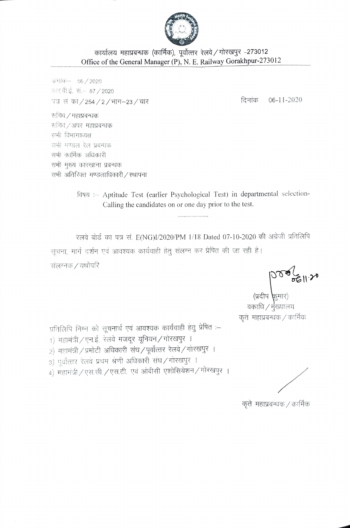

## कार्यालय महाप्रबन्धक (कार्मिक), पूर्वोत्तर रेलवे / गोरखपुर -273012 Office of the General Manager (P), N. E. Railway Gorakhpur-273012

कर्माक- 56/2020 आर.बी.ई. सं.– 87 / 2020 पत्र सं का / 254 / 2 / भाग–23 / चार

दिनांक  $06-11-2020$ 

सचिव / महाप्रबन्धक सचिव/अपर महाप्रबन्धक सभी विभागाध्यक्ष सभी मण्डल रेल प्रबन्धक सभी कार्मिक अधिकारी सभी मुख्य कारखाना प्रबन्धक सभी अतिरिक्त मण्डलाधिकारी / स्थापना

> विषय :- Aptitude Test (earlier Psychological Test) in departmental selection-Calling the candidates on or one day prior to the test.

रेलवे बोर्ड का पत्र सं. E(NG)I/2020/PM 1/18 Dated 07-10-2020 की अंग्रेजी प्रतिलिपि सचना, मार्ग दर्शन एवं आवश्यक कार्यवाही हेतू संलग्न कर प्रेपित की जा रही है। संलग्नक / यथोपरि

 $\begin{pmatrix} 0 & 0 & 0 \ 0 & 0 & 0 \end{pmatrix}$ (प्रदीप कुमार)<br>वकाधि / मुख्यालय कृते) महाप्रबन्धक / कार्मिक

प्रतिलिपि निम्न को सूचनार्थ एवं आवश्यक कार्यवाही हेतु प्रेषित :-

- 1) महामंत्री / एन.ई. रेलवे मजदूर यूनियन / गोरखपुर ।
- 2) महामंत्री / प्रमोटी अधिकारी संघ / पूर्वोत्तर रेलवे / गोरखपुर ।
- 3) पूर्वोत्तर रेलवे प्रथम श्रेणी अधिकारी संघ/गोरखपुर ।

4) महामंत्री / एस.सी. / एस.टी. एवं ओबीसी एशोसियेशन / गोरखपुर ।

कृते महाप्रबन्धक / कार्मिक